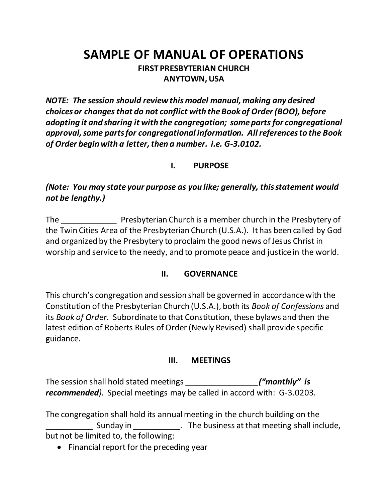# **SAMPLE OF MANUAL OF OPERATIONS FIRST PRESBYTERIAN CHURCH ANYTOWN, USA**

*NOTE: The session should review this model manual, making any desired choices or changes that do not conflict with the Book of Order (BOO), before adopting it and sharing it with the congregation; some parts for congregational approval, some parts for congregational information. All references to the Book of Order begin with a letter, then a number. i.e. G-3.0102.*

# **I. PURPOSE**

*(Note: You may state your purpose as you like; generally, this statement would not be lengthy.)*

The \_\_\_\_\_\_\_\_\_\_\_\_\_ Presbyterian Church is a member church in the Presbytery of the Twin Cities Area of the Presbyterian Church (U.S.A.). It has been called by God and organized by the Presbytery to proclaim the good news of Jesus Christ in worship and service to the needy, and to promote peace and justice in the world.

# **II. GOVERNANCE**

This church's congregation and session shall be governed in accordance with the Constitution of the Presbyterian Church (U.S.A.), both its *Book of Confessions* and its *Book of Order.* Subordinate to that Constitution, these bylaws and then the latest edition of Roberts Rules of Order (Newly Revised) shall provide specific guidance.

#### **III. MEETINGS**

The session shall hold stated meetings *\_\_\_\_\_\_\_\_\_\_\_\_\_\_\_\_\_("monthly" is recommended).* Special meetings may be called in accord with: G-3.0203.

The congregation shall hold its annual meeting in the church building on the Sunday in The business at that meeting shall include, but not be limited to, the following:

• Financial report for the preceding year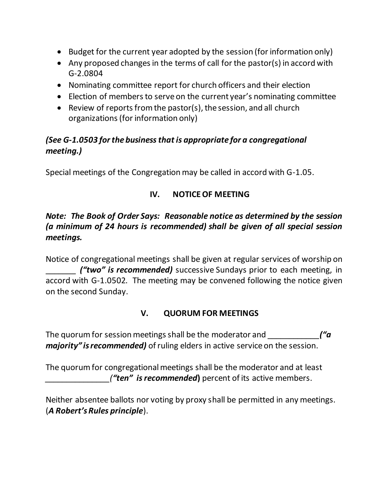- Budget for the current year adopted by the session (for information only)
- Any proposed changes in the terms of call for the pastor(s) in accord with G-2.0804
- Nominating committee report for church officers and their election
- Election of members to serve on the current year's nominating committee
- Review of reports from the pastor(s), the session, and all church organizations (for information only)

# *(See G-1.0503 for the business that is appropriate for a congregational meeting.)*

Special meetings of the Congregation may be called in accord with G-1.05.

# **IV. NOTICE OF MEETING**

# *Note: The Book of Order Says: Reasonable notice as determined by the session (a minimum of 24 hours is recommended) shall be given of all special session meetings.*

Notice of congregational meetings shall be given at regular services of worship on \_\_\_\_\_\_\_ *("two" is recommended)* successive Sundays prior to each meeting, in accord with G-1.0502. The meeting may be convened following the notice given on the second Sunday.

# **V. QUORUM FOR MEETINGS**

The quorum for session meetings shall be the moderator and *\_\_\_\_\_\_\_\_\_\_\_\_("a majority" is recommended)* of ruling elders in active service on the session.

The quorum for congregational meetings shall be the moderator and at least *("ten" is recommended*) percent of its active members.

Neither absentee ballots nor voting by proxy shall be permitted in any meetings. (*A Robert's Rules principle*).